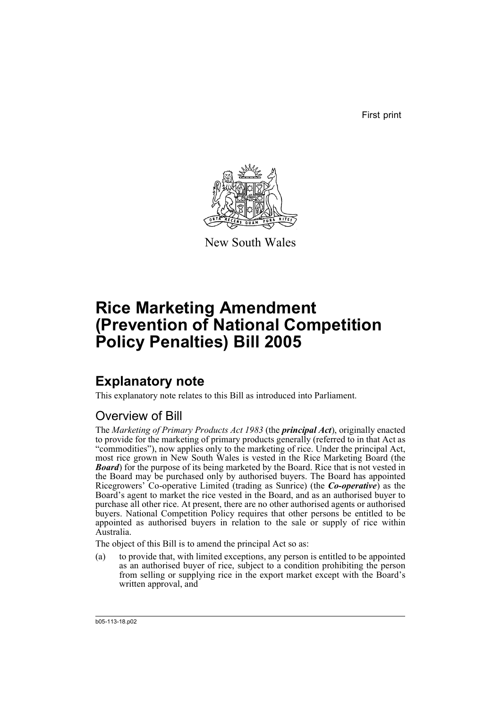First print



New South Wales

# **Rice Marketing Amendment (Prevention of National Competition Policy Penalties) Bill 2005**

# **Explanatory note**

This explanatory note relates to this Bill as introduced into Parliament.

## Overview of Bill

The *Marketing of Primary Products Act 1983* (the *principal Act*), originally enacted to provide for the marketing of primary products generally (referred to in that Act as "commodities"), now applies only to the marketing of rice. Under the principal Act, most rice grown in New South Wales is vested in the Rice Marketing Board (the *Board*) for the purpose of its being marketed by the Board. Rice that is not vested in the Board may be purchased only by authorised buyers. The Board has appointed Ricegrowers' Co-operative Limited (trading as Sunrice) (the *Co-operative*) as the Board's agent to market the rice vested in the Board, and as an authorised buyer to purchase all other rice. At present, there are no other authorised agents or authorised buyers. National Competition Policy requires that other persons be entitled to be appointed as authorised buyers in relation to the sale or supply of rice within Australia.

The object of this Bill is to amend the principal Act so as:

(a) to provide that, with limited exceptions, any person is entitled to be appointed as an authorised buyer of rice, subject to a condition prohibiting the person from selling or supplying rice in the export market except with the Board's written approval, and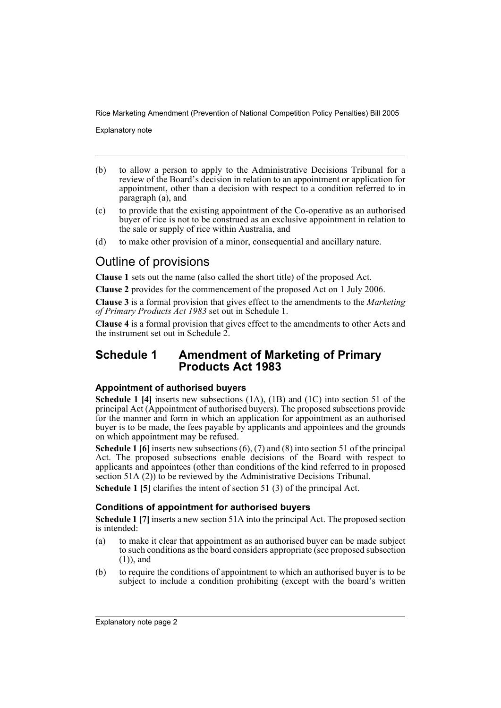Explanatory note

- (b) to allow a person to apply to the Administrative Decisions Tribunal for a review of the Board's decision in relation to an appointment or application for appointment, other than a decision with respect to a condition referred to in paragraph (a), and
- (c) to provide that the existing appointment of the Co-operative as an authorised buyer of rice is not to be construed as an exclusive appointment in relation to the sale or supply of rice within Australia, and
- (d) to make other provision of a minor, consequential and ancillary nature.

## Outline of provisions

**Clause 1** sets out the name (also called the short title) of the proposed Act.

**Clause 2** provides for the commencement of the proposed Act on 1 July 2006.

**Clause 3** is a formal provision that gives effect to the amendments to the *Marketing of Primary Products Act 1983* set out in Schedule 1.

**Clause 4** is a formal provision that gives effect to the amendments to other Acts and the instrument set out in Schedule 2.

### **Schedule 1 Amendment of Marketing of Primary Products Act 1983**

### **Appointment of authorised buyers**

**Schedule 1 [4]** inserts new subsections (1A), (1B) and (1C) into section 51 of the principal Act (Appointment of authorised buyers). The proposed subsections provide for the manner and form in which an application for appointment as an authorised buyer is to be made, the fees payable by applicants and appointees and the grounds on which appointment may be refused.

**Schedule 1 [6]** inserts new subsections (6), (7) and (8) into section 51 of the principal Act. The proposed subsections enable decisions of the Board with respect to applicants and appointees (other than conditions of the kind referred to in proposed section  $51A(2)$  to be reviewed by the Administrative Decisions Tribunal.

**Schedule 1 [5]** clarifies the intent of section 51 (3) of the principal Act.

### **Conditions of appointment for authorised buyers**

**Schedule 1 [7]** inserts a new section 51A into the principal Act. The proposed section is intended:

- (a) to make it clear that appointment as an authorised buyer can be made subject to such conditions as the board considers appropriate (see proposed subsection (1)), and
- (b) to require the conditions of appointment to which an authorised buyer is to be subject to include a condition prohibiting (except with the board's written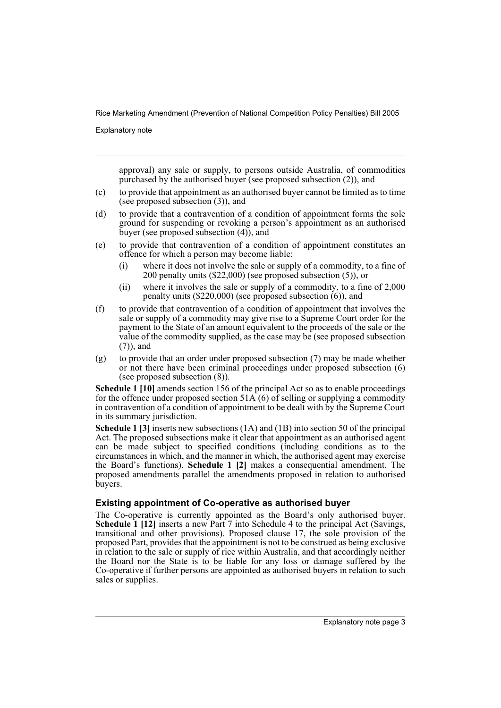Explanatory note

approval) any sale or supply, to persons outside Australia, of commodities purchased by the authorised buyer (see proposed subsection (2)), and

- (c) to provide that appointment as an authorised buyer cannot be limited as to time (see proposed subsection (3)), and
- (d) to provide that a contravention of a condition of appointment forms the sole ground for suspending or revoking a person's appointment as an authorised buyer (see proposed subsection (4)), and
- (e) to provide that contravention of a condition of appointment constitutes an offence for which a person may become liable:
	- (i) where it does not involve the sale or supply of a commodity, to a fine of 200 penalty units (\$22,000) (see proposed subsection (5)), or
	- (ii) where it involves the sale or supply of a commodity, to a fine of 2,000 penalty units (\$220,000) (see proposed subsection (6)), and
- (f) to provide that contravention of a condition of appointment that involves the sale or supply of a commodity may give rise to a Supreme Court order for the payment to the State of an amount equivalent to the proceeds of the sale or the value of the commodity supplied, as the case may be (see proposed subsection (7)), and
- (g) to provide that an order under proposed subsection (7) may be made whether or not there have been criminal proceedings under proposed subsection (6) (see proposed subsection (8)).

**Schedule 1 [10]** amends section 156 of the principal Act so as to enable proceedings for the offence under proposed section  $51\text{\AA}$  (6) of selling or supplying a commodity in contravention of a condition of appointment to be dealt with by the Supreme Court in its summary jurisdiction.

**Schedule 1 [3]** inserts new subsections (1A) and (1B) into section 50 of the principal Act. The proposed subsections make it clear that appointment as an authorised agent can be made subject to specified conditions (including conditions as to the circumstances in which, and the manner in which, the authorised agent may exercise the Board's functions). **Schedule 1 [2]** makes a consequential amendment. The proposed amendments parallel the amendments proposed in relation to authorised buyers.

### **Existing appointment of Co-operative as authorised buyer**

The Co-operative is currently appointed as the Board's only authorised buyer. **Schedule 1 [12]** inserts a new Part 7 into Schedule 4 to the principal Act (Savings, transitional and other provisions). Proposed clause 17, the sole provision of the proposed Part, provides that the appointment is not to be construed as being exclusive in relation to the sale or supply of rice within Australia, and that accordingly neither the Board nor the State is to be liable for any loss or damage suffered by the Co-operative if further persons are appointed as authorised buyers in relation to such sales or supplies.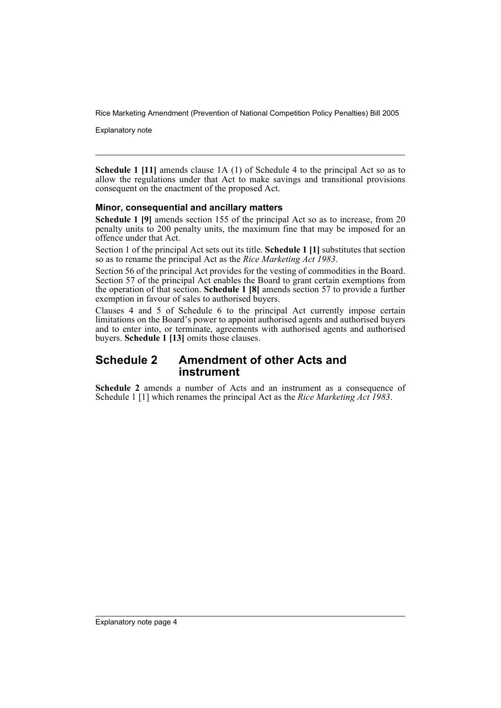Explanatory note

**Schedule 1 [11]** amends clause 1A (1) of Schedule 4 to the principal Act so as to allow the regulations under that Act to make savings and transitional provisions consequent on the enactment of the proposed Act.

#### **Minor, consequential and ancillary matters**

**Schedule 1 [9]** amends section 155 of the principal Act so as to increase, from 20 penalty units to 200 penalty units, the maximum fine that may be imposed for an offence under that Act.

Section 1 of the principal Act sets out its title. **Schedule 1 [1]** substitutes that section so as to rename the principal Act as the *Rice Marketing Act 1983*.

Section 56 of the principal Act provides for the vesting of commodities in the Board. Section 57 of the principal Act enables the Board to grant certain exemptions from the operation of that section. **Schedule 1 [8]** amends section 57 to provide a further exemption in favour of sales to authorised buyers.

Clauses 4 and 5 of Schedule 6 to the principal Act currently impose certain limitations on the Board's power to appoint authorised agents and authorised buyers and to enter into, or terminate, agreements with authorised agents and authorised buyers. **Schedule 1 [13]** omits those clauses.

### **Schedule 2 Amendment of other Acts and instrument**

**Schedule 2** amends a number of Acts and an instrument as a consequence of Schedule 1 [1] which renames the principal Act as the *Rice Marketing Act 1983*.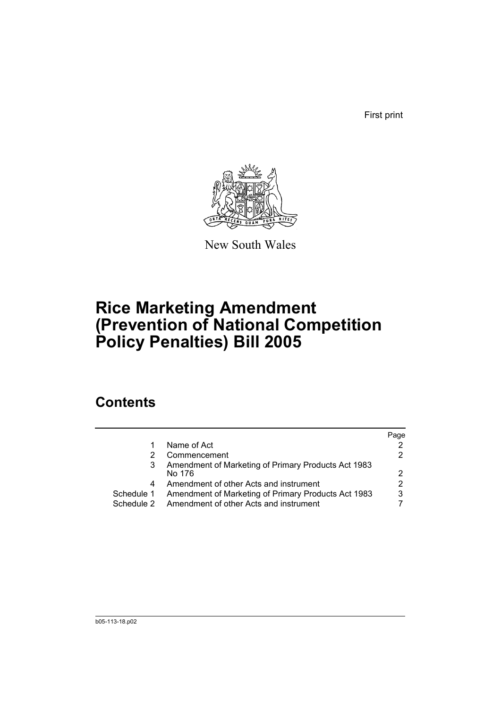First print



New South Wales

# **Rice Marketing Amendment (Prevention of National Competition Policy Penalties) Bill 2005**

## **Contents**

|            |                                                               | Page |
|------------|---------------------------------------------------------------|------|
|            | Name of Act                                                   |      |
|            | Commencement                                                  |      |
|            | Amendment of Marketing of Primary Products Act 1983<br>No 176 |      |
| 4          | Amendment of other Acts and instrument                        |      |
| Schedule 1 | Amendment of Marketing of Primary Products Act 1983           | 3    |
| Schedule 2 | Amendment of other Acts and instrument                        |      |
|            |                                                               |      |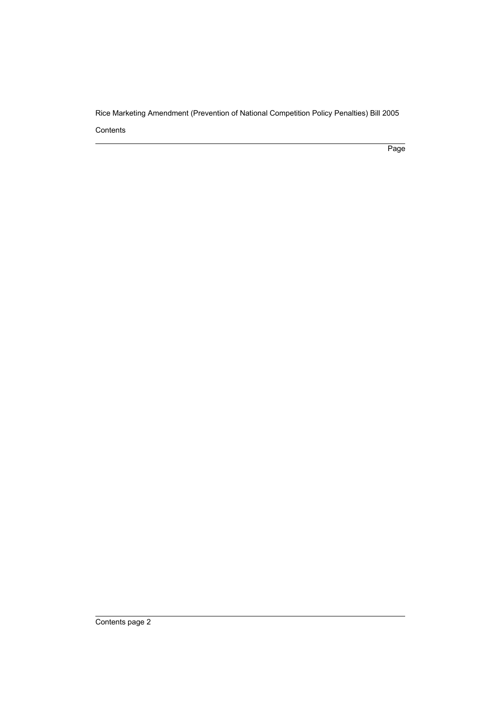Page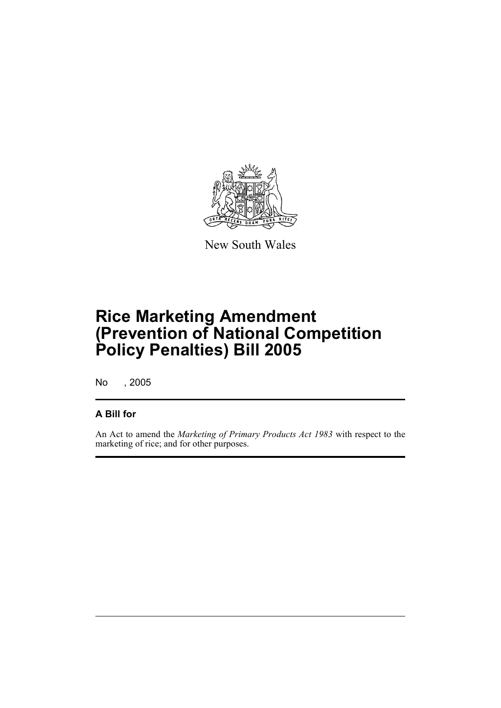

New South Wales

# **Rice Marketing Amendment (Prevention of National Competition Policy Penalties) Bill 2005**

No , 2005

### **A Bill for**

An Act to amend the *Marketing of Primary Products Act 1983* with respect to the marketing of rice; and for other purposes.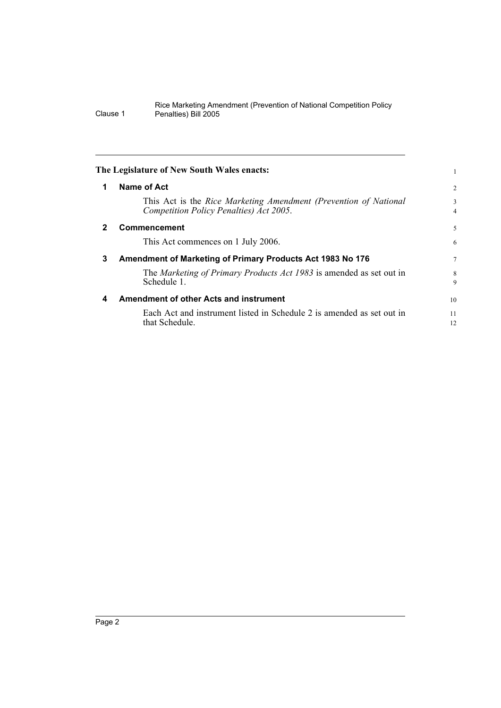<span id="page-7-3"></span><span id="page-7-2"></span><span id="page-7-1"></span><span id="page-7-0"></span>

| The Legislature of New South Wales enacts: |                                                                                                             |                     |  |
|--------------------------------------------|-------------------------------------------------------------------------------------------------------------|---------------------|--|
| 1                                          | Name of Act                                                                                                 | $\overline{2}$      |  |
|                                            | This Act is the Rice Marketing Amendment (Prevention of National<br>Competition Policy Penalties) Act 2005. | 3<br>$\overline{4}$ |  |
| $\mathbf 2$                                | <b>Commencement</b>                                                                                         | 5                   |  |
|                                            | This Act commences on 1 July 2006.                                                                          | 6                   |  |
| 3                                          | Amendment of Marketing of Primary Products Act 1983 No 176                                                  |                     |  |
|                                            | The Marketing of Primary Products Act 1983 is amended as set out in<br>Schedule 1.                          | 8<br>9              |  |
| 4                                          | Amendment of other Acts and instrument                                                                      | 10                  |  |
|                                            | Each Act and instrument listed in Schedule 2 is amended as set out in<br>that Schedule.                     | 11<br>12            |  |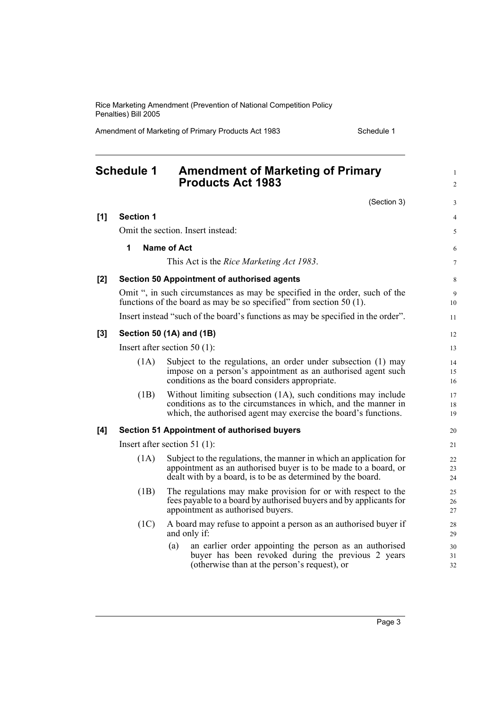Amendment of Marketing of Primary Products Act 1983 Schedule 1

<span id="page-8-0"></span>

|       | <b>Schedule 1</b>               | <b>Amendment of Marketing of Primary</b><br><b>Products Act 1983</b>                                                                                                                                 | $\mathbf{1}$<br>$\overline{c}$ |  |  |
|-------|---------------------------------|------------------------------------------------------------------------------------------------------------------------------------------------------------------------------------------------------|--------------------------------|--|--|
|       |                                 | (Section 3)                                                                                                                                                                                          | 3                              |  |  |
| [1]   | <b>Section 1</b>                |                                                                                                                                                                                                      | 4                              |  |  |
|       |                                 | Omit the section. Insert instead:                                                                                                                                                                    | 5                              |  |  |
|       | 1                               | <b>Name of Act</b>                                                                                                                                                                                   | 6                              |  |  |
|       |                                 | This Act is the <i>Rice Marketing Act 1983</i> .                                                                                                                                                     | $\tau$                         |  |  |
| [2]   |                                 | Section 50 Appointment of authorised agents                                                                                                                                                          | 8                              |  |  |
|       |                                 | Omit ", in such circumstances as may be specified in the order, such of the<br>functions of the board as may be so specified" from section $50(1)$ .                                                 | 9<br>10                        |  |  |
|       |                                 | Insert instead "such of the board's functions as may be specified in the order".                                                                                                                     | 11                             |  |  |
| $[3]$ |                                 | Section 50 (1A) and (1B)                                                                                                                                                                             | 12                             |  |  |
|       | Insert after section 50 $(1)$ : |                                                                                                                                                                                                      |                                |  |  |
|       | (1A)                            | Subject to the regulations, an order under subsection (1) may<br>impose on a person's appointment as an authorised agent such<br>conditions as the board considers appropriate.                      | 14<br>15<br>16                 |  |  |
|       | (1B)                            | Without limiting subsection (1A), such conditions may include<br>conditions as to the circumstances in which, and the manner in<br>which, the authorised agent may exercise the board's functions.   | 17<br>18<br>19                 |  |  |
| [4]   |                                 | <b>Section 51 Appointment of authorised buyers</b>                                                                                                                                                   | 20                             |  |  |
|       | Insert after section $51$ (1):  |                                                                                                                                                                                                      |                                |  |  |
|       | (1A)                            | Subject to the regulations, the manner in which an application for<br>appointment as an authorised buyer is to be made to a board, or<br>dealt with by a board, is to be as determined by the board. | 22<br>23<br>24                 |  |  |
|       | (1B)                            | The regulations may make provision for or with respect to the<br>fees payable to a board by authorised buyers and by applicants for<br>appointment as authorised buyers.                             | 25<br>26<br>27                 |  |  |
|       | (1C)                            | A board may refuse to appoint a person as an authorised buyer if<br>and only if:                                                                                                                     | 28<br>29                       |  |  |
|       |                                 | an earlier order appointing the person as an authorised<br>(a)<br>buyer has been revoked during the previous 2 years<br>(otherwise than at the person's request), or                                 | 30<br>31<br>32                 |  |  |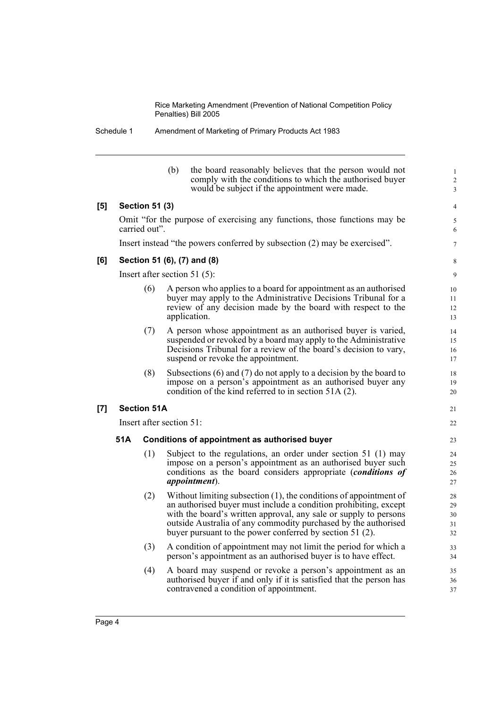Schedule 1 Amendment of Marketing of Primary Products Act 1983

| (b) | the board reasonably believes that the person would not  |
|-----|----------------------------------------------------------|
|     | comply with the conditions to which the authorised buyer |
|     | would be subject if the appointment were made.           |
|     |                                                          |

### **[5] Section 51 (3)**

Omit "for the purpose of exercising any functions, those functions may be carried out".

Insert instead "the powers conferred by subsection (2) may be exercised".

#### **[6] Section 51 (6), (7) and (8)**

Insert after section 51 (5):

- (6) A person who applies to a board for appointment as an authorised buyer may apply to the Administrative Decisions Tribunal for a review of any decision made by the board with respect to the application.
- (7) A person whose appointment as an authorised buyer is varied, suspended or revoked by a board may apply to the Administrative Decisions Tribunal for a review of the board's decision to vary, suspend or revoke the appointment.
- (8) Subsections (6) and (7) do not apply to a decision by the board to impose on a person's appointment as an authorised buyer any condition of the kind referred to in section 51A (2).

#### **[7] Section 51A**

Insert after section 51:

#### **51A Conditions of appointment as authorised buyer**

- (1) Subject to the regulations, an order under section 51 (1) may impose on a person's appointment as an authorised buyer such conditions as the board considers appropriate (*conditions of appointment*).
- (2) Without limiting subsection (1), the conditions of appointment of an authorised buyer must include a condition prohibiting, except with the board's written approval, any sale or supply to persons outside Australia of any commodity purchased by the authorised buyer pursuant to the power conferred by section 51 (2).
- (3) A condition of appointment may not limit the period for which a person's appointment as an authorised buyer is to have effect.
- (4) A board may suspend or revoke a person's appointment as an authorised buyer if and only if it is satisfied that the person has contravened a condition of appointment.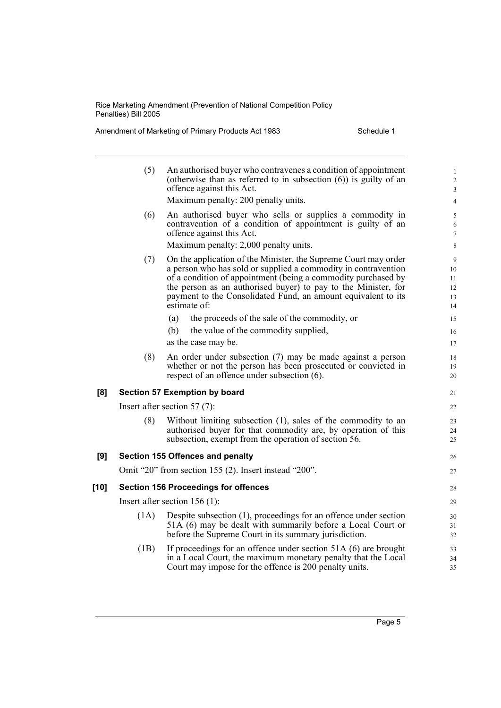Amendment of Marketing of Primary Products Act 1983 Schedule 1

|      | (5)                                         | An authorised buyer who contravenes a condition of appointment<br>(otherwise than as referred to in subsection $(6)$ ) is guilty of an<br>offence against this Act.                                                                                                                                                                                   | $\mathbf{1}$<br>$\overline{\mathbf{c}}$<br>3 |  |  |
|------|---------------------------------------------|-------------------------------------------------------------------------------------------------------------------------------------------------------------------------------------------------------------------------------------------------------------------------------------------------------------------------------------------------------|----------------------------------------------|--|--|
|      |                                             | Maximum penalty: 200 penalty units.                                                                                                                                                                                                                                                                                                                   | $\overline{4}$                               |  |  |
|      | (6)                                         | An authorised buyer who sells or supplies a commodity in<br>contravention of a condition of appointment is guilty of an<br>offence against this Act.                                                                                                                                                                                                  | 5<br>6<br>7                                  |  |  |
|      |                                             | Maximum penalty: 2,000 penalty units.                                                                                                                                                                                                                                                                                                                 | 8                                            |  |  |
|      | (7)                                         | On the application of the Minister, the Supreme Court may order<br>a person who has sold or supplied a commodity in contravention<br>of a condition of appointment (being a commodity purchased by<br>the person as an authorised buyer) to pay to the Minister, for<br>payment to the Consolidated Fund, an amount equivalent to its<br>estimate of: | 9<br>10<br>11<br>12<br>13<br>14              |  |  |
|      |                                             | the proceeds of the sale of the commodity, or<br>(a)                                                                                                                                                                                                                                                                                                  | 15                                           |  |  |
|      |                                             | the value of the commodity supplied,<br>(b)                                                                                                                                                                                                                                                                                                           | 16                                           |  |  |
|      |                                             | as the case may be.                                                                                                                                                                                                                                                                                                                                   | 17                                           |  |  |
|      | (8)                                         | An order under subsection (7) may be made against a person<br>whether or not the person has been prosecuted or convicted in<br>respect of an offence under subsection (6).                                                                                                                                                                            | 18<br>19<br>20                               |  |  |
| [8]  |                                             | Section 57 Exemption by board                                                                                                                                                                                                                                                                                                                         | 21                                           |  |  |
|      | Insert after section $57(7)$ :              |                                                                                                                                                                                                                                                                                                                                                       |                                              |  |  |
|      | (8)                                         | Without limiting subsection (1), sales of the commodity to an<br>authorised buyer for that commodity are, by operation of this<br>subsection, exempt from the operation of section 56.                                                                                                                                                                | 22<br>23<br>24<br>25                         |  |  |
| [9]  |                                             | <b>Section 155 Offences and penalty</b>                                                                                                                                                                                                                                                                                                               | 26                                           |  |  |
|      |                                             | Omit "20" from section 155 (2). Insert instead "200".                                                                                                                                                                                                                                                                                                 | 27                                           |  |  |
| [10] | <b>Section 156 Proceedings for offences</b> |                                                                                                                                                                                                                                                                                                                                                       |                                              |  |  |
|      | Insert after section 156 (1):               |                                                                                                                                                                                                                                                                                                                                                       |                                              |  |  |
|      | (1A)                                        |                                                                                                                                                                                                                                                                                                                                                       | 29                                           |  |  |
|      |                                             | Despite subsection (1), proceedings for an offence under section<br>51A (6) may be dealt with summarily before a Local Court or<br>before the Supreme Court in its summary jurisdiction.                                                                                                                                                              | 30<br>31<br>32                               |  |  |
|      | (1B)                                        | If proceedings for an offence under section 51A (6) are brought<br>in a Local Court, the maximum monetary penalty that the Local<br>Court may impose for the offence is 200 penalty units.                                                                                                                                                            | 33<br>34<br>35                               |  |  |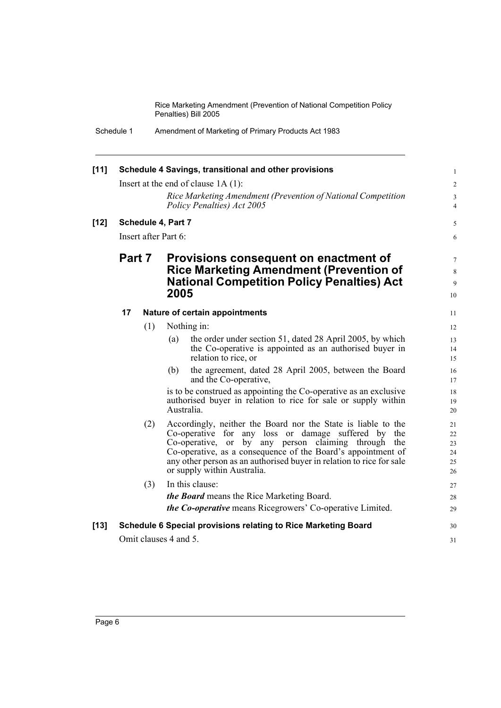| [11]   |                                       |        |            | Schedule 4 Savings, transitional and other provisions                                                         | $\mathbf{1}$     |  |
|--------|---------------------------------------|--------|------------|---------------------------------------------------------------------------------------------------------------|------------------|--|
|        | Insert at the end of clause $1A(1)$ : |        |            | $\overline{c}$                                                                                                |                  |  |
|        |                                       |        |            | Rice Marketing Amendment (Prevention of National Competition                                                  | $\mathfrak{Z}$   |  |
|        |                                       |        |            | Policy Penalties) Act 2005                                                                                    | $\overline{4}$   |  |
| $[12]$ | Schedule 4, Part 7                    |        |            |                                                                                                               | 5                |  |
|        | Insert after Part 6:                  |        |            |                                                                                                               | 6                |  |
|        |                                       | Part 7 |            | Provisions consequent on enactment of                                                                         | $\tau$           |  |
|        |                                       |        |            | <b>Rice Marketing Amendment (Prevention of</b>                                                                |                  |  |
|        |                                       |        |            | <b>National Competition Policy Penalties) Act</b>                                                             | $\,$ 8 $\,$<br>9 |  |
|        |                                       |        | 2005       |                                                                                                               | 10               |  |
|        | 17                                    |        |            | Nature of certain appointments                                                                                | 11               |  |
|        |                                       | (1)    |            | Nothing in:                                                                                                   | 12               |  |
|        |                                       |        | (a)        | the order under section 51, dated 28 April 2005, by which                                                     | 13               |  |
|        |                                       |        |            | the Co-operative is appointed as an authorised buyer in                                                       | 14               |  |
|        |                                       |        |            | relation to rice, or                                                                                          | 15               |  |
|        |                                       |        | (b)        | the agreement, dated 28 April 2005, between the Board<br>and the Co-operative,                                | 16<br>17         |  |
|        |                                       |        |            | is to be construed as appointing the Co-operative as an exclusive                                             | 18               |  |
|        |                                       |        | Australia. | authorised buyer in relation to rice for sale or supply within                                                | 19               |  |
|        |                                       |        |            |                                                                                                               | 20               |  |
|        |                                       | (2)    |            | Accordingly, neither the Board nor the State is liable to the                                                 | 21               |  |
|        |                                       |        |            | Co-operative for any loss or damage suffered by the<br>Co-operative, or<br>by any person claiming through the | 22<br>23         |  |
|        |                                       |        |            | Co-operative, as a consequence of the Board's appointment of                                                  | 24               |  |
|        |                                       |        |            | any other person as an authorised buyer in relation to rice for sale                                          | 25               |  |
|        |                                       |        |            | or supply within Australia.                                                                                   | 26               |  |
|        |                                       | (3)    |            | In this clause:                                                                                               | 27               |  |
|        |                                       |        |            | <i>the Board</i> means the Rice Marketing Board.                                                              | 28               |  |
|        |                                       |        |            | <i>the Co-operative</i> means Ricegrowers' Co-operative Limited.                                              | 29               |  |
| $[13]$ |                                       |        |            | Schedule 6 Special provisions relating to Rice Marketing Board                                                | 30               |  |
|        | Omit clauses 4 and 5.                 |        |            |                                                                                                               | 31               |  |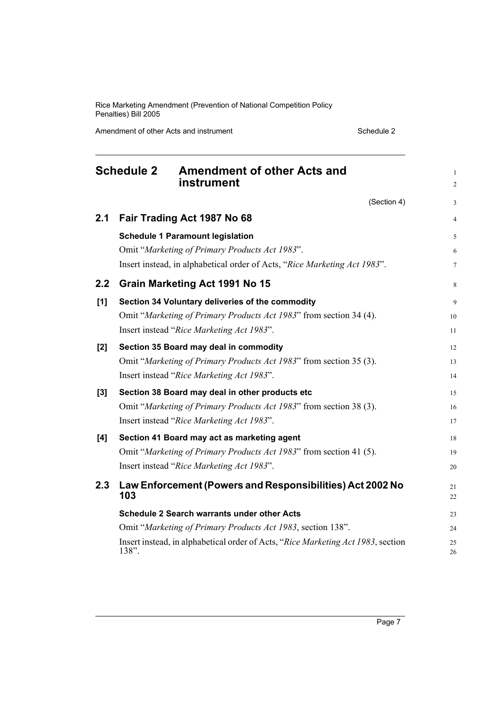Amendment of other Acts and instrument Schedule 2

<span id="page-12-0"></span>

|       | <b>Schedule 2</b><br><b>Amendment of other Acts and</b><br>instrument                                                                                                  | $\mathbf{1}$<br>$\overline{2}$ |
|-------|------------------------------------------------------------------------------------------------------------------------------------------------------------------------|--------------------------------|
|       | (Section 4)                                                                                                                                                            | 3                              |
| 2.1   | Fair Trading Act 1987 No 68                                                                                                                                            | 4                              |
|       | <b>Schedule 1 Paramount legislation</b><br>Omit "Marketing of Primary Products Act 1983".<br>Insert instead, in alphabetical order of Acts, "Rice Marketing Act 1983". | 5<br>6<br>$\tau$               |
| 2.2   | Grain Marketing Act 1991 No 15                                                                                                                                         | 8                              |
| [1]   | Section 34 Voluntary deliveries of the commodity<br>Omit "Marketing of Primary Products Act 1983" from section 34 (4).<br>Insert instead "Rice Marketing Act 1983".    | 9<br>10<br>11                  |
| [2]   | Section 35 Board may deal in commodity<br>Omit "Marketing of Primary Products Act 1983" from section 35 (3).<br>Insert instead "Rice Marketing Act 1983".              | 12<br>13<br>14                 |
| $[3]$ | Section 38 Board may deal in other products etc<br>Omit "Marketing of Primary Products Act 1983" from section 38 (3).<br>Insert instead "Rice Marketing Act 1983".     | 15<br>16<br>17                 |
| [4]   | Section 41 Board may act as marketing agent<br>Omit "Marketing of Primary Products Act 1983" from section 41 (5).<br>Insert instead "Rice Marketing Act 1983".         | 18<br>19<br>20                 |
| 2.3   | Law Enforcement (Powers and Responsibilities) Act 2002 No<br>103                                                                                                       | 21<br>22                       |
|       | <b>Schedule 2 Search warrants under other Acts</b>                                                                                                                     | 23                             |
|       | Omit "Marketing of Primary Products Act 1983, section 138".                                                                                                            | 24                             |
|       | Insert instead, in alphabetical order of Acts, "Rice Marketing Act 1983, section<br>138".                                                                              | 25<br>26                       |